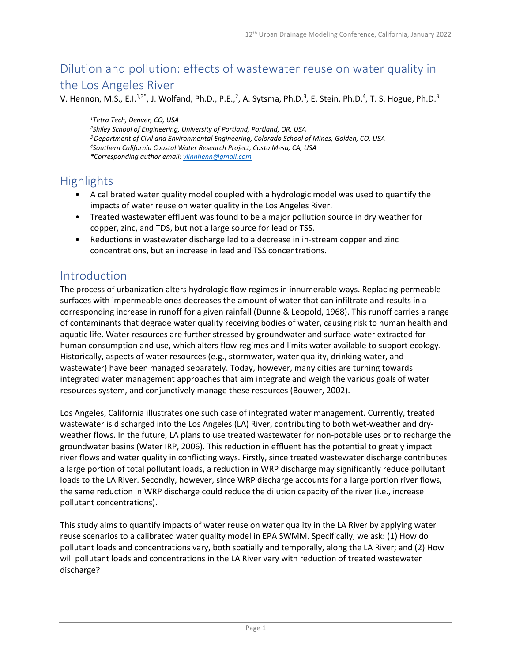# Dilution and pollution: effects of wastewater reuse on water quality in the Los Angeles River

V. Hennon, M.S., E.I.<sup>1,3\*</sup>, J. Wolfand, Ph.D., P.E.,<sup>2</sup>, A. Sytsma, Ph.D.<sup>3</sup>, E. Stein, Ph.D.<sup>4</sup>, T. S. Hogue, Ph.D.<sup>3</sup>

*1Tetra Tech, Denver, CO, USA 2Shiley School of Engineering, University of Portland, Portland, OR, USA 3Department of Civil and Environmental Engineering, Colorado School of Mines, Golden, CO, USA 4Southern California Coastal Water Research Project, Costa Mesa, CA, USA \*Corresponding author email: [vlinnhenn@gmail.com](mailto:vlinnhenn@gmail.com)*

# **Highlights**

- A calibrated water quality model coupled with a hydrologic model was used to quantify the impacts of water reuse on water quality in the Los Angeles River.
- Treated wastewater effluent was found to be a major pollution source in dry weather for copper, zinc, and TDS, but not a large source for lead or TSS.
- Reductions in wastewater discharge led to a decrease in in-stream copper and zinc concentrations, but an increase in lead and TSS concentrations.

## Introduction

The process of urbanization alters hydrologic flow regimes in innumerable ways. Replacing permeable surfaces with impermeable ones decreases the amount of water that can infiltrate and results in a corresponding increase in runoff for a given rainfall (Dunne & Leopold, 1968). This runoff carries a range of contaminants that degrade water quality receiving bodies of water, causing risk to human health and aquatic life. Water resources are further stressed by groundwater and surface water extracted for human consumption and use, which alters flow regimes and limits water available to support ecology. Historically, aspects of water resources (e.g., stormwater, water quality, drinking water, and wastewater) have been managed separately. Today, however, many cities are turning towards integrated water management approaches that aim integrate and weigh the various goals of water resources system, and conjunctively manage these resources (Bouwer, 2002).

Los Angeles, California illustrates one such case of integrated water management. Currently, treated wastewater is discharged into the Los Angeles (LA) River, contributing to both wet-weather and dryweather flows. In the future, LA plans to use treated wastewater for non-potable uses or to recharge the groundwater basins (Water IRP, 2006). This reduction in effluent has the potential to greatly impact river flows and water quality in conflicting ways. Firstly, since treated wastewater discharge contributes a large portion of total pollutant loads, a reduction in WRP discharge may significantly reduce pollutant loads to the LA River. Secondly, however, since WRP discharge accounts for a large portion river flows, the same reduction in WRP discharge could reduce the dilution capacity of the river (i.e., increase pollutant concentrations).

This study aims to quantify impacts of water reuse on water quality in the LA River by applying water reuse scenarios to a calibrated water quality model in EPA SWMM. Specifically, we ask: (1) How do pollutant loads and concentrations vary, both spatially and temporally, along the LA River; and (2) How will pollutant loads and concentrations in the LA River vary with reduction of treated wastewater discharge?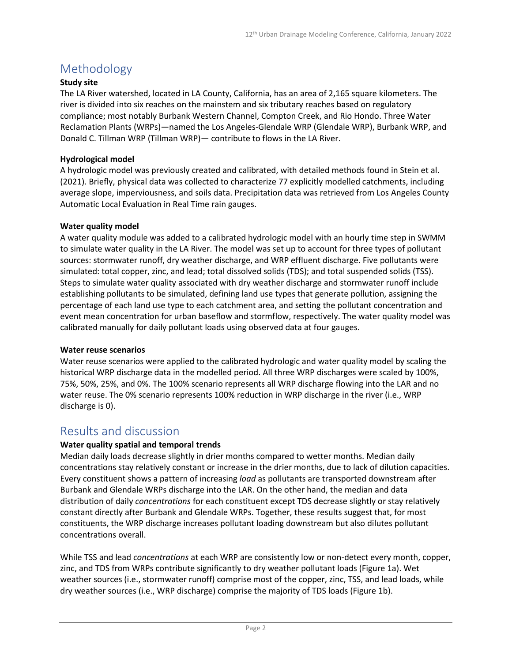# Methodology

### **Study site**

The LA River watershed, located in LA County, California, has an area of 2,165 square kilometers. The river is divided into six reaches on the mainstem and six tributary reaches based on regulatory compliance; most notably Burbank Western Channel, Compton Creek, and Rio Hondo. Three Water Reclamation Plants (WRPs)—named the Los Angeles-Glendale WRP (Glendale WRP), Burbank WRP, and Donald C. Tillman WRP (Tillman WRP)— contribute to flows in the LA River.

### **Hydrological model**

A hydrologic model was previously created and calibrated, with detailed methods found in Stein et al. (2021). Briefly, physical data was collected to characterize 77 explicitly modelled catchments, including average slope, imperviousness, and soils data. Precipitation data was retrieved from Los Angeles County Automatic Local Evaluation in Real Time rain gauges.

#### **Water quality model**

A water quality module was added to a calibrated hydrologic model with an hourly time step in SWMM to simulate water quality in the LA River. The model was set up to account for three types of pollutant sources: stormwater runoff, dry weather discharge, and WRP effluent discharge. Five pollutants were simulated: total copper, zinc, and lead; total dissolved solids (TDS); and total suspended solids (TSS). Steps to simulate water quality associated with dry weather discharge and stormwater runoff include establishing pollutants to be simulated, defining land use types that generate pollution, assigning the percentage of each land use type to each catchment area, and setting the pollutant concentration and event mean concentration for urban baseflow and stormflow, respectively. The water quality model was calibrated manually for daily pollutant loads using observed data at four gauges.

#### **Water reuse scenarios**

Water reuse scenarios were applied to the calibrated hydrologic and water quality model by scaling the historical WRP discharge data in the modelled period. All three WRP discharges were scaled by 100%, 75%, 50%, 25%, and 0%. The 100% scenario represents all WRP discharge flowing into the LAR and no water reuse. The 0% scenario represents 100% reduction in WRP discharge in the river (i.e., WRP discharge is 0).

## Results and discussion

### **Water quality spatial and temporal trends**

Median daily loads decrease slightly in drier months compared to wetter months. Median daily concentrations stay relatively constant or increase in the drier months, due to lack of dilution capacities. Every constituent shows a pattern of increasing *load* as pollutants are transported downstream after Burbank and Glendale WRPs discharge into the LAR. On the other hand, the median and data distribution of daily *concentrations* for each constituent except TDS decrease slightly or stay relatively constant directly after Burbank and Glendale WRPs. Together, these results suggest that, for most constituents, the WRP discharge increases pollutant loading downstream but also dilutes pollutant concentrations overall.

While TSS and lead *concentrations* at each WRP are consistently low or non-detect every month, copper, zinc, and TDS from WRPs contribute significantly to dry weather pollutant loads [\(Figure 1a](#page-2-0)). Wet weather sources (i.e., stormwater runoff) comprise most of the copper, zinc, TSS, and lead loads, while dry weather sources (i.e., WRP discharge) comprise the majority of TDS loads (Figure 1b).